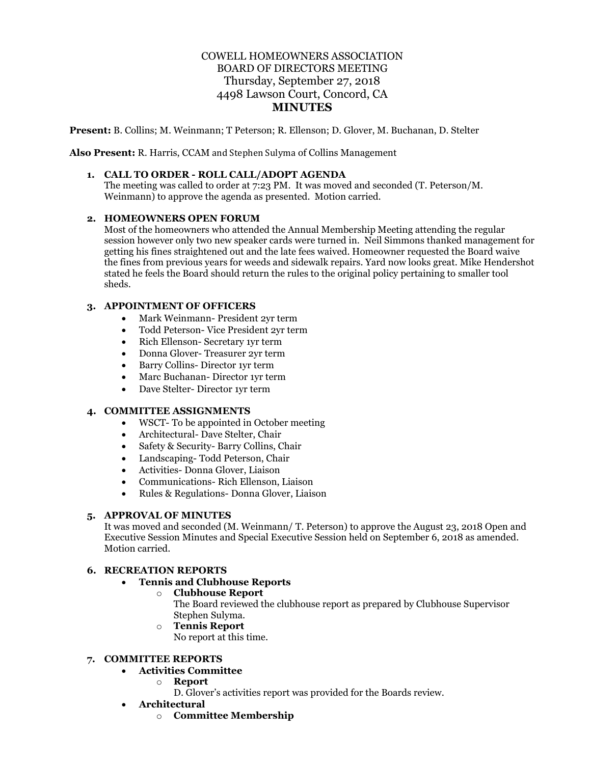# COWELL HOMEOWNERS ASSOCIATION BOARD OF DIRECTORS MEETING Thursday, September 27, 2018 4498 Lawson Court, Concord, CA **MINUTES**

**Present:** B. Collins; M. Weinmann; T Peterson; R. Ellenson; D. Glover, M. Buchanan, D. Stelter

**Also Present:** R. Harris, CCAM and Stephen Sulyma of Collins Management

#### **1. CALL TO ORDER - ROLL CALL/ADOPT AGENDA**

The meeting was called to order at 7:23 PM. It was moved and seconded (T. Peterson/M. Weinmann) to approve the agenda as presented. Motion carried.

#### **2. HOMEOWNERS OPEN FORUM**

Most of the homeowners who attended the Annual Membership Meeting attending the regular session however only two new speaker cards were turned in. Neil Simmons thanked management for getting his fines straightened out and the late fees waived. Homeowner requested the Board waive the fines from previous years for weeds and sidewalk repairs. Yard now looks great. Mike Hendershot stated he feels the Board should return the rules to the original policy pertaining to smaller tool sheds.

### **3. APPOINTMENT OF OFFICERS**

- Mark Weinmann- President 2yr term
- Todd Peterson- Vice President 2yr term
- Rich Ellenson- Secretary 1yr term
- Donna Glover- Treasurer 2yr term
- Barry Collins- Director 1yr term
- Marc Buchanan- Director 1yr term
- Dave Stelter- Director 1yr term

#### **4. COMMITTEE ASSIGNMENTS**

- WSCT-To be appointed in October meeting
- Architectural- Dave Stelter, Chair
- Safety & Security- Barry Collins, Chair
- Landscaping- Todd Peterson, Chair
- Activities- Donna Glover, Liaison
- Communications- Rich Ellenson, Liaison
- Rules & Regulations- Donna Glover, Liaison

### **5. APPROVAL OF MINUTES**

It was moved and seconded (M. Weinmann/ T. Peterson) to approve the August 23, 2018 Open and Executive Session Minutes and Special Executive Session held on September 6, 2018 as amended. Motion carried.

#### **6. RECREATION REPORTS**

#### • **Tennis and Clubhouse Reports**

o **Clubhouse Report**

The Board reviewed the clubhouse report as prepared by Clubhouse Supervisor Stephen Sulyma.

- o **Tennis Report**
	- No report at this time.

#### **7. COMMITTEE REPORTS**

# • **Activities Committee**

- o **Report**
	- D. Glover's activities report was provided for the Boards review.
- **Architectural**
	- o **Committee Membership**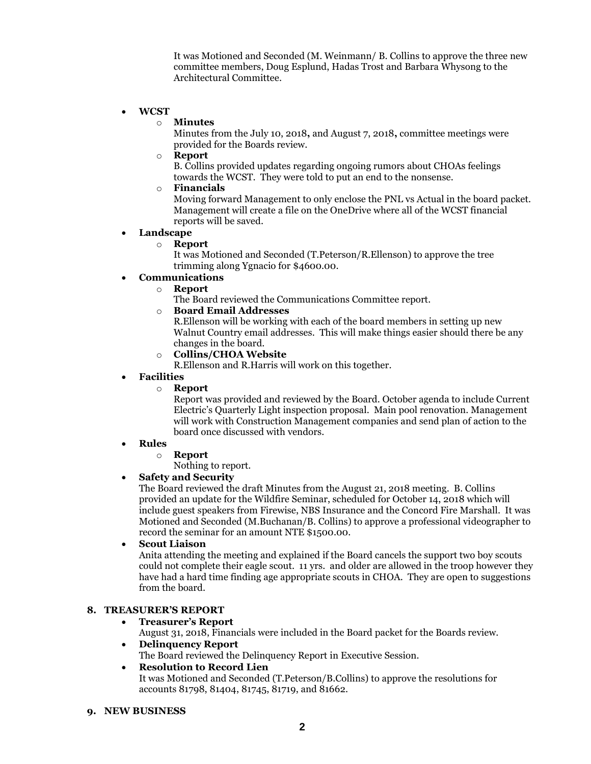It was Motioned and Seconded (M. Weinmann/ B. Collins to approve the three new committee members, Doug Esplund, Hadas Trost and Barbara Whysong to the Architectural Committee.

### • **WCST**

#### o **Minutes**

Minutes from the July 10, 2018**,** and August 7, 2018**,** committee meetings were provided for the Boards review.

o **Report**

B. Collins provided updates regarding ongoing rumors about CHOAs feelings towards the WCST. They were told to put an end to the nonsense.

## o **Financials**

Moving forward Management to only enclose the PNL vs Actual in the board packet. Management will create a file on the OneDrive where all of the WCST financial reports will be saved.

### • **Landscape**

### o **Report**

It was Motioned and Seconded (T.Peterson/R.Ellenson) to approve the tree trimming along Ygnacio for \$4600.00.

### • **Communications**

- o **Report**
	- The Board reviewed the Communications Committee report.

### o **Board Email Addresses**

R.Ellenson will be working with each of the board members in setting up new Walnut Country email addresses. This will make things easier should there be any changes in the board.

o **Collins/CHOA Website**

R.Ellenson and R.Harris will work on this together.

### • **Facilities**

#### o **Report**

Report was provided and reviewed by the Board. October agenda to include Current Electric's Quarterly Light inspection proposal. Main pool renovation. Management will work with Construction Management companies and send plan of action to the board once discussed with vendors.

#### • **Rules**

#### o **Report**

Nothing to report.

# • **Safety and Security**

The Board reviewed the draft Minutes from the August 21, 2018 meeting. B. Collins provided an update for the Wildfire Seminar, scheduled for October 14, 2018 which will include guest speakers from Firewise, NBS Insurance and the Concord Fire Marshall. It was Motioned and Seconded (M.Buchanan/B. Collins) to approve a professional videographer to record the seminar for an amount NTE \$1500.00.

# • **Scout Liaison**

Anita attending the meeting and explained if the Board cancels the support two boy scouts could not complete their eagle scout. 11 yrs. and older are allowed in the troop however they have had a hard time finding age appropriate scouts in CHOA. They are open to suggestions from the board.

# **8. TREASURER'S REPORT**

### • **Treasurer's Report**

August 31, 2018, Financials were included in the Board packet for the Boards review.

#### • **Delinquency Report**

The Board reviewed the Delinquency Report in Executive Session.

#### • **Resolution to Record Lien**

It was Motioned and Seconded (T.Peterson/B.Collins) to approve the resolutions for accounts 81798, 81404, 81745, 81719, and 81662.

#### **9. NEW BUSINESS**